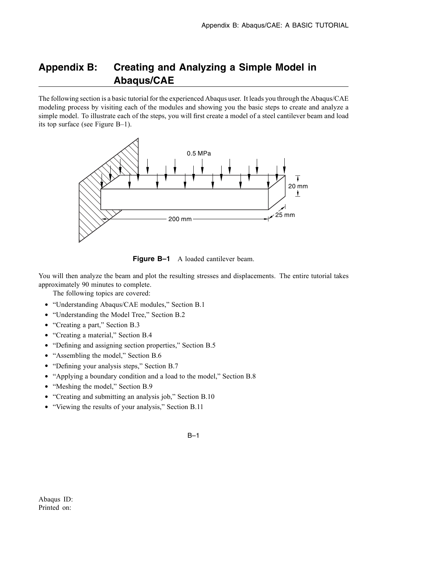# **Appendix B: Creating and Analyzing a Simple Model in Abaqus/CAE**

The following section is a basic tutorial for the experienced Abaqus user. It leads you through the Abaqus/CAE modeling process by visiting each of the modules and showing you the basic steps to create and analyze a simple model. To illustrate each of the steps, you will first create a model of a steel cantilever beam and load its top surface (see Figure B–1).



**Figure B-1** A loaded cantilever beam.

You will then analyze the beam and plot the resulting stresses and displacements. The entire tutorial takes approximately 90 minutes to complete.

The following topics are covered:

- "Understanding Abaqus/CAE modules," Section B.1
- "Understanding the Model Tree," Section B.2
- "Creating a part," Section B.3
- "Creating a material," Section B.4
- "Defining and assigning section properties," Section B.5
- "Assembling the model," Section B.6
- "Defining your analysis steps," Section B.7
- "Applying a boundary condition and a load to the model," Section B.8
- "Meshing the model," Section B.9
- "Creating and submitting an analysis job," Section B.10
- "Viewing the results of your analysis," Section B.11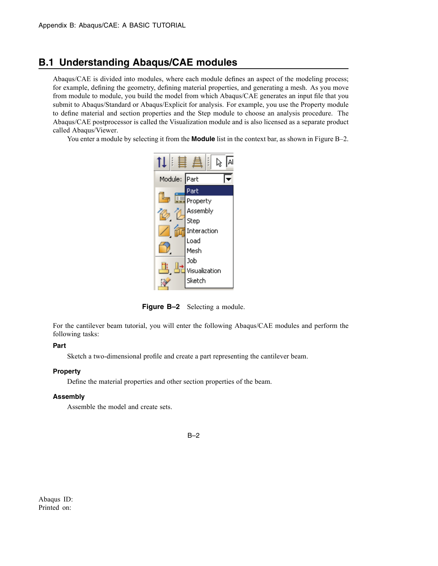## **B.1 Understanding Abaqus/CAE modules**

Abaqus/CAE is divided into modules, where each module defines an aspect of the modeling process; for example, defining the geometry, defining material properties, and generating a mesh. As you move from module to module, you build the model from which Abaqus/CAE generates an input file that you submit to Abaqus/Standard or Abaqus/Explicit for analysis. For example, you use the Property module to define material and section properties and the Step module to choose an analysis procedure. The Abaqus/CAE postprocessor is called the Visualization module and is also licensed as a separate product called Abaqus/Viewer.

You enter a module by selecting it from the **Module** list in the context bar, as shown in Figure B–2.



**Figure B–2** Selecting a module.

For the cantilever beam tutorial, you will enter the following Abaqus/CAE modules and perform the following tasks:

#### **Part**

Sketch a two-dimensional profile and create a part representing the cantilever beam.

#### **Property**

Define the material properties and other section properties of the beam.

#### **Assembly**

Assemble the model and create sets.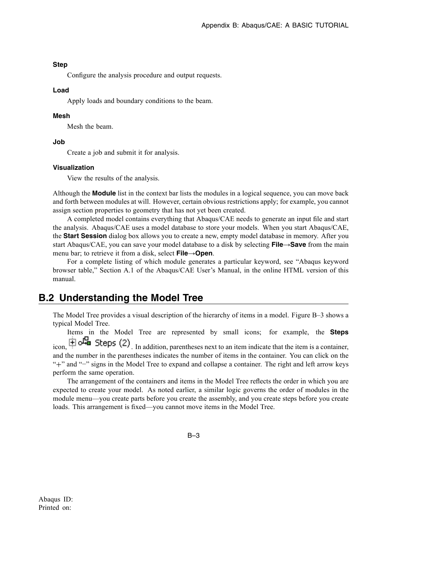#### **Step**

Configure the analysis procedure and output requests.

#### **Load**

Apply loads and boundary conditions to the beam.

#### **Mesh**

Mesh the beam.

#### **Job**

Create a job and submit it for analysis.

#### **Visualization**

View the results of the analysis.

Although the **Module** list in the context bar lists the modules in a logical sequence, you can move back and forth between modules at will. However, certain obvious restrictions apply; for example, you cannot assign section properties to geometry that has not yet been created.

A completed model contains everything that Abaqus/CAE needs to generate an input file and start the analysis. Abaqus/CAE uses a model database to store your models. When you start Abaqus/CAE, the **Start Session** dialog box allows you to create a new, empty model database in memory. After you start Abaqus/CAE, you can save your model database to a disk by selecting **File**→**Save** from the main menu bar; to retrieve it from a disk, select **File**→**Open**.

For a complete listing of which module generates a particular keyword, see "Abaqus keyword browser table," Section A.1 of the Abaqus/CAE User's Manual, in the online HTML version of this manual.

# **B.2 Understanding the Model Tree**

The Model Tree provides a visual description of the hierarchy of items in a model. Figure B–3 shows a typical Model Tree.

Items in the Model Tree are represented by small icons; for example, the **Steps** icon,  $\dot{H}$  of  $\dot{H}$  Steps (2). In addition, parentheses next to an item indicate that the item is a container, and the number in the parentheses indicates the number of items in the container. You can click on the "+" and "−" signs in the Model Tree to expand and collapse a container. The right and left arrow keys perform the same operation.

The arrangement of the containers and items in the Model Tree reflects the order in which you are expected to create your model. As noted earlier, a similar logic governs the order of modules in the module menu—you create parts before you create the assembly, and you create steps before you create loads. This arrangement is fixed—you cannot move items in the Model Tree.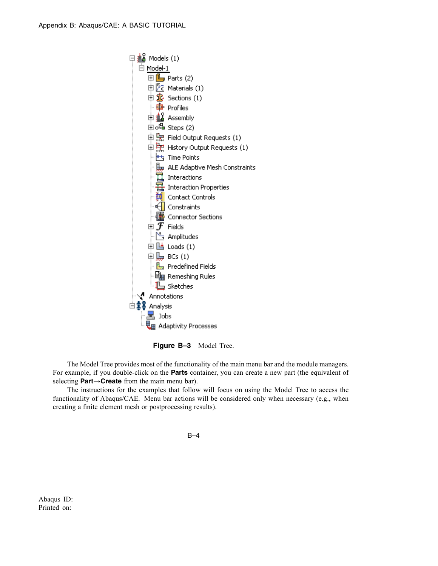

**Figure B–3** Model Tree.

The Model Tree provides most of the functionality of the main menu bar and the module managers. For example, if you double-click on the **Parts** container, you can create a new part (the equivalent of selecting **Part**→**Create** from the main menu bar).

The instructions for the examples that follow will focus on using the Model Tree to access the functionality of Abaqus/CAE. Menu bar actions will be considered only when necessary (e.g., when creating a finite element mesh or postprocessing results).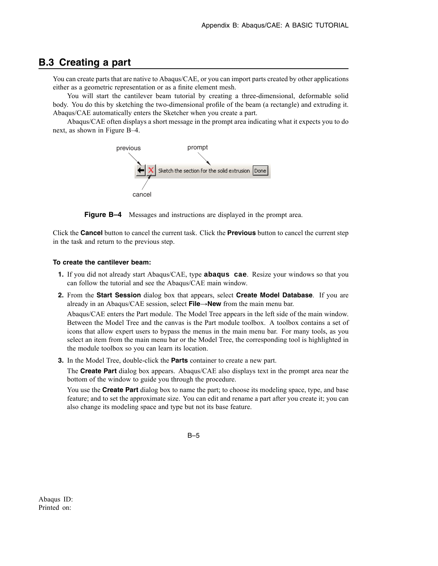## **B.3 Creating a part**

You can create parts that are native to Abaqus/CAE, or you can import parts created by other applications either as a geometric representation or as a finite element mesh.

You will start the cantilever beam tutorial by creating a three-dimensional, deformable solid body. You do this by sketching the two-dimensional profile of the beam (a rectangle) and extruding it. Abaqus/CAE automatically enters the Sketcher when you create a part.

Abaqus/CAE often displays a short message in the prompt area indicating what it expects you to do next, as shown in Figure B–4.



**Figure B–4** Messages and instructions are displayed in the prompt area.

Click the **Cancel** button to cancel the current task. Click the **Previous** button to cancel the current step in the task and return to the previous step.

#### **To create the cantilever beam:**

- **1.** If you did not already start Abaqus/CAE, type **abaqus cae**. Resize your windows so that you can follow the tutorial and see the Abaqus/CAE main window.
- **2.** From the **Start Session** dialog box that appears, select **Create Model Database**. If you are already in an Abaqus/CAE session, select **File**→**New** from the main menu bar.

Abaqus/CAE enters the Part module. The Model Tree appears in the left side of the main window. Between the Model Tree and the canvas is the Part module toolbox. A toolbox contains a set of icons that allow expert users to bypass the menus in the main menu bar. For many tools, as you select an item from the main menu bar or the Model Tree, the corresponding tool is highlighted in the module toolbox so you can learn its location.

**3.** In the Model Tree, double-click the **Parts** container to create a new part.

The **Create Part** dialog box appears. Abaqus/CAE also displays text in the prompt area near the bottom of the window to guide you through the procedure.

You use the **Create Part** dialog box to name the part; to choose its modeling space, type, and base feature; and to set the approximate size. You can edit and rename a part after you create it; you can also change its modeling space and type but not its base feature.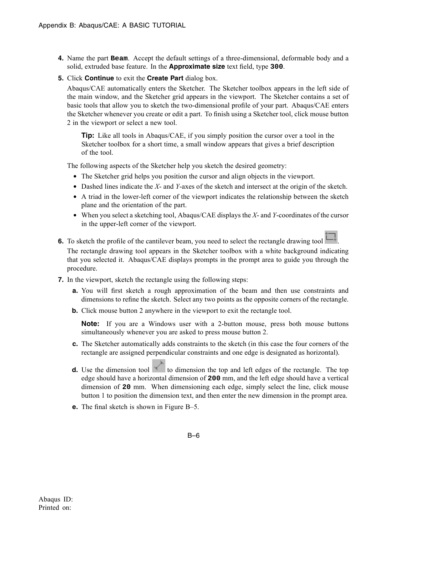- **4.** Name the part **Beam**. Accept the default settings of a three-dimensional, deformable body and a solid, extruded base feature. In the **Approximate size** text field, type **300**.
- **5.** Click **Continue** to exit the **Create Part** dialog box.

Abaqus/CAE automatically enters the Sketcher. The Sketcher toolbox appears in the left side of the main window, and the Sketcher grid appears in the viewport. The Sketcher contains a set of basic tools that allow you to sketch the two-dimensional profile of your part. Abaqus/CAE enters the Sketcher whenever you create or edit a part. To finish using a Sketcher tool, click mouse button 2 in the viewport or select a new tool.

**Tip:** Like all tools in Abaqus/CAE, if you simply position the cursor over a tool in the Sketcher toolbox for a short time, a small window appears that gives a brief description of the tool.

The following aspects of the Sketcher help you sketch the desired geometry:

- The Sketcher grid helps you position the cursor and align objects in the viewport.
- Dashed lines indicate the *X* and *Y*-axes of the sketch and intersect at the origin of the sketch.
- A triad in the lower-left corner of the viewport indicates the relationship between the sketch plane and the orientation of the part.
- When you select a sketching tool, Abaqus/CAE displays the *X* and *Y*-coordinates of the cursor in the upper-left corner of the viewport.
- **6.** To sketch the profile of the cantilever beam, you need to select the rectangle drawing tool The rectangle drawing tool appears in the Sketcher toolbox with a white background indicating that you selected it. Abaqus/CAE displays prompts in the prompt area to guide you through the procedure.
- **7.** In the viewport, sketch the rectangle using the following steps:
	- **a.** You will first sketch a rough approximation of the beam and then use constraints and dimensions to refine the sketch. Select any two points as the opposite corners of the rectangle.
	- **b.** Click mouse button 2 anywhere in the viewport to exit the rectangle tool.

**Note:** If you are a Windows user with a 2-button mouse, press both mouse buttons simultaneously whenever you are asked to press mouse button 2.

- **c.** The Sketcher automatically adds constraints to the sketch (in this case the four corners of the rectangle are assigned perpendicular constraints and one edge is designated as horizontal).
- **d.** Use the dimension tool  $\leq$  to dimension the top and left edges of the rectangle. The top edge should have a horizontal dimension of **200** mm, and the left edge should have a vertical dimension of **20** mm. When dimensioning each edge, simply select the line, click mouse button 1 to position the dimension text, and then enter the new dimension in the prompt area.
- **e.** The final sketch is shown in Figure B–5.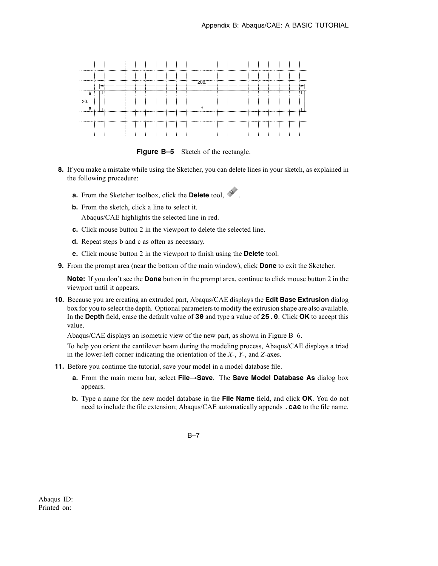

**Figure B-5** Sketch of the rectangle.

- **8.** If you make a mistake while using the Sketcher, you can delete lines in your sketch, as explained in the following procedure:
	- **a.** From the Sketcher toolbox, click the **Delete** tool.
	- **b.** From the sketch, click a line to select it. Abaqus/CAE highlights the selected line in red.
	- **c.** Click mouse button 2 in the viewport to delete the selected line.
	- **d.** Repeat steps b and c as often as necessary.
	- **e.** Click mouse button 2 in the viewport to finish using the **Delete** tool.
- **9.** From the prompt area (near the bottom of the main window), click **Done** to exit the Sketcher.

**Note:** If you don't see the **Done** button in the prompt area, continue to click mouse button 2 in the viewport until it appears.

**10.** Because you are creating an extruded part, Abaqus/CAE displays the **Edit Base Extrusion** dialog box for you to select the depth. Optional parameters to modify the extrusion shape are also available. In the **Depth** field, erase the default value of **30** and type a value of **25.0**. Click **OK** to accept this value.

Abaqus/CAE displays an isometric view of the new part, as shown in Figure B–6.

To help you orient the cantilever beam during the modeling process, Abaqus/CAE displays a triad in the lower-left corner indicating the orientation of the *X*-, *Y*-, and *Z*-axes.

- **11.** Before you continue the tutorial, save your model in a model database file.
	- **a.** From the main menu bar, select **File**→**Save**. The **Save Model Database As** dialog box appears.
	- **b.** Type a name for the new model database in the **File Name** field, and click **OK**. You do not need to include the file extension; Abaqus/CAE automatically appends **.cae** to the file name.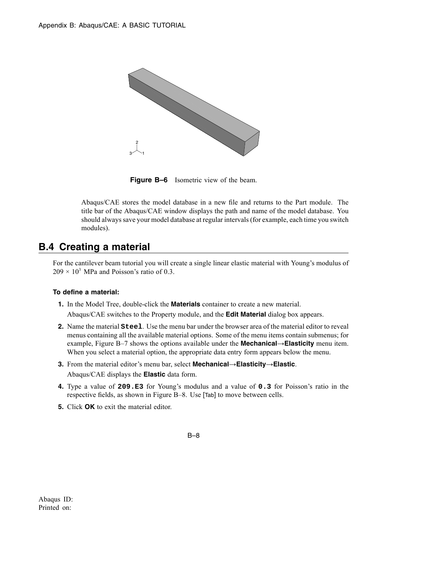

**Figure B–6** Isometric view of the beam.

Abaqus/CAE stores the model database in a new file and returns to the Part module. The title bar of the Abaqus/CAE window displays the path and name of the model database. You should always save your model database at regular intervals (for example, each time you switch modules).

## **B.4 Creating a material**

For the cantilever beam tutorial you will create a single linear elastic material with Young's modulus of  $209 \times 10^3$  MPa and Poisson's ratio of 0.3.

#### **To define a material:**

- **1.** In the Model Tree, double-click the **Materials** container to create a new material. Abaqus/CAE switches to the Property module, and the **Edit Material** dialog box appears.
- **2.** Name the material **Steel**. Use the menu bar under the browser area of the material editor to reveal menus containing all the available material options. Some of the menu items contain submenus; for example, Figure B–7 shows the options available under the **Mechanical**→**Elasticity** menu item. When you select a material option, the appropriate data entry form appears below the menu.
- **3.** From the material editor's menu bar, select **Mechanical**→**Elasticity**→**Elastic**. Abaqus/CAE displays the **Elastic** data form.
- **4.** Type a value of **209.E3** for Young's modulus and a value of **0.3** for Poisson's ratio in the respective fields, as shown in Figure B–8. Use [Tab] to move between cells.
- **5.** Click **OK** to exit the material editor.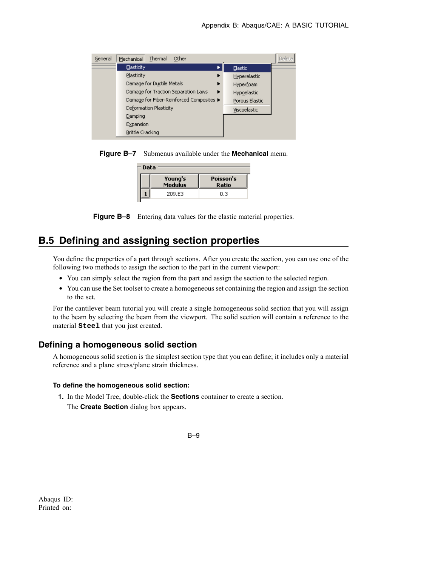| General | Thermal<br>Other<br>Mechanical           |                | <b>Delete</b> |
|---------|------------------------------------------|----------------|---------------|
|         | <b>Elasticity</b>                        | Elastic        |               |
|         | <b>Plasticity</b><br>▶                   | Hyperelastic   |               |
|         | Damage for Ductile Metals<br>▶           | Hyperfoam      |               |
|         | Damage for Traction Separation Laws<br>▶ | Hypoelastic    |               |
|         | Damage for Fiber-Reinforced Composites ▶ | Porous Elastic |               |
|         | Deformation Plasticity                   | Viscoelastic   |               |
|         | Damping                                  |                |               |
|         | Expansion                                |                |               |
|         | Brittle Cracking                         |                |               |

**Figure B–7** Submenus available under the **Mechanical** menu.

| Data                      |                    |  |  |  |
|---------------------------|--------------------|--|--|--|
| Young's<br><b>Modulus</b> | Poisson's<br>Ratio |  |  |  |
| 209.E3                    | 0.3                |  |  |  |
|                           |                    |  |  |  |

**Figure B–8** Entering data values for the elastic material properties.

# **B.5 Defining and assigning section properties**

You define the properties of a part through sections. After you create the section, you can use one of the following two methods to assign the section to the part in the current viewport:

- You can simply select the region from the part and assign the section to the selected region.
- You can use the Set toolset to create a homogeneous set containing the region and assign the section to the set.

For the cantilever beam tutorial you will create a single homogeneous solid section that you will assign to the beam by selecting the beam from the viewport. The solid section will contain a reference to the material **Steel** that you just created.

### **Defining a homogeneous solid section**

A homogeneous solid section is the simplest section type that you can define; it includes only a material reference and a plane stress/plane strain thickness.

#### **To define the homogeneous solid section:**

**1.** In the Model Tree, double-click the **Sections** container to create a section.

The **Create Section** dialog box appears.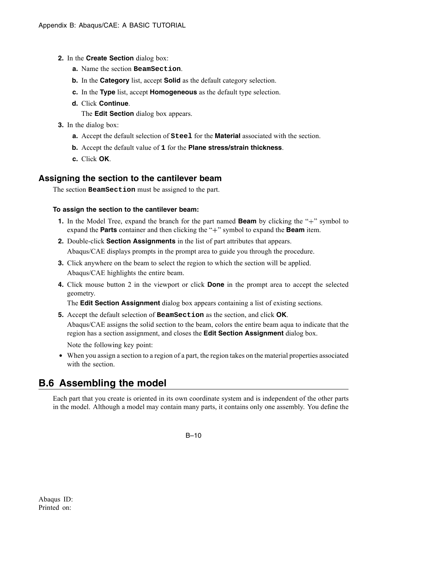- **2.** In the **Create Section** dialog box:
	- **a.** Name the section **BeamSection**.
	- **b.** In the **Category** list, accept **Solid** as the default category selection.
	- **c.** In the **Type** list, accept **Homogeneous** as the default type selection.
	- **d.** Click **Continue**.

The **Edit Section** dialog box appears.

- **3.** In the dialog box:
	- **a.** Accept the default selection of **Steel** for the **Material** associated with the section.
	- **b.** Accept the default value of **1** for the **Plane stress/strain thickness**.
	- **c.** Click **OK**.

### **Assigning the section to the cantilever beam**

The section **BeamSection** must be assigned to the part.

#### **To assign the section to the cantilever beam:**

- **1.** In the Model Tree, expand the branch for the part named **Beam** by clicking the "+" symbol to expand the **Parts** container and then clicking the "+" symbol to expand the **Beam** item.
- **2.** Double-click **Section Assignments** in the list of part attributes that appears. Abaqus/CAE displays prompts in the prompt area to guide you through the procedure.
- **3.** Click anywhere on the beam to select the region to which the section will be applied. Abaqus/CAE highlights the entire beam.
- **4.** Click mouse button 2 in the viewport or click **Done** in the prompt area to accept the selected geometry.

The **Edit Section Assignment** dialog box appears containing a list of existing sections.

**5.** Accept the default selection of **BeamSection** as the section, and click **OK**.

Abaqus/CAE assigns the solid section to the beam, colors the entire beam aqua to indicate that the region has a section assignment, and closes the **Edit Section Assignment** dialog box.

Note the following key point:

• When you assign a section to a region of a part, the region takes on the material properties associated with the section.

# **B.6 Assembling the model**

Each part that you create is oriented in its own coordinate system and is independent of the other parts in the model. Although a model may contain many parts, it contains only one assembly. You define the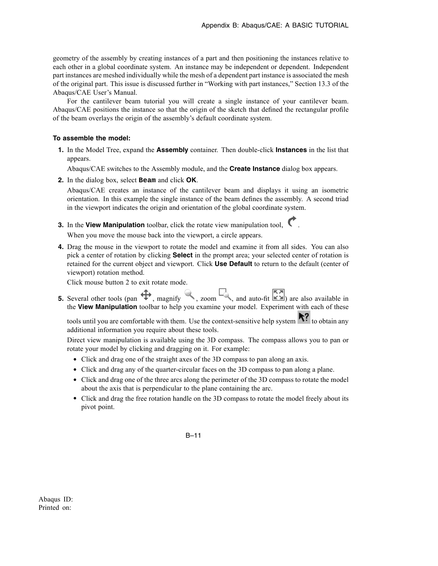geometry of the assembly by creating instances of a part and then positioning the instances relative to each other in a global coordinate system. An instance may be independent or dependent. Independent part instances are meshed individually while the mesh of a dependent part instance is associated the mesh of the original part. This issue is discussed further in "Working with part instances," Section 13.3 of the Abaqus/CAE User's Manual.

For the cantilever beam tutorial you will create a single instance of your cantilever beam. Abaqus/CAE positions the instance so that the origin of the sketch that defined the rectangular profile of the beam overlays the origin of the assembly's default coordinate system.

#### **To assemble the model:**

**1.** In the Model Tree, expand the **Assembly** container. Then double-click **Instances** in the list that appears.

Abaqus/CAE switches to the Assembly module, and the **Create Instance** dialog box appears.

**2.** In the dialog box, select **Beam** and click **OK**.

Abaqus/CAE creates an instance of the cantilever beam and displays it using an isometric orientation. In this example the single instance of the beam defines the assembly. A second triad in the viewport indicates the origin and orientation of the global coordinate system.

**3.** In the **View Manipulation** toolbar, click the rotate view manipulation tool,

When you move the mouse back into the viewport, a circle appears.

**4.** Drag the mouse in the viewport to rotate the model and examine it from all sides. You can also pick a center of rotation by clicking **Select** in the prompt area; your selected center of rotation is retained for the current object and viewport. Click **Use Default** to return to the default (center of viewport) rotation method.

Click mouse button 2 to exit rotate mode.

**5.** Several other tools (pan  $\oplus$ , magnify , zoom , and auto-fit  $\ddot{\ddot{\bullet}}$ ) are also available in the **View Manipulation** toolbar to help you examine your model. Experiment with each of these

tools until you are comfortable with them. Use the context-sensitive help system  $\mathbf{R}$  to obtain any additional information you require about these tools.

Direct view manipulation is available using the 3D compass. The compass allows you to pan or rotate your model by clicking and dragging on it. For example:

- Click and drag one of the straight axes of the 3D compass to pan along an axis.
- Click and drag any of the quarter-circular faces on the 3D compass to pan along a plane.
- Click and drag one of the three arcs along the perimeter of the 3D compass to rotate the model about the axis that is perpendicular to the plane containing the arc.
- Click and drag the free rotation handle on the 3D compass to rotate the model freely about its pivot point.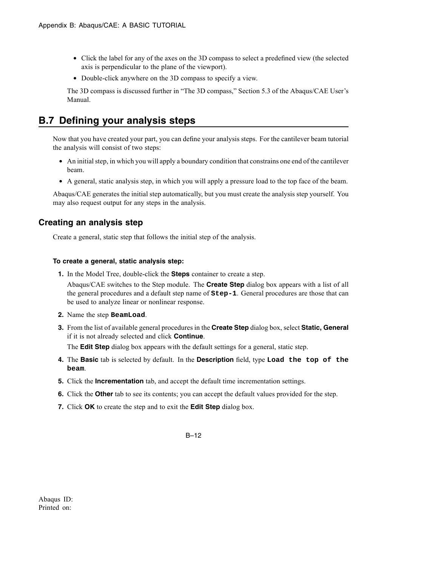- Click the label for any of the axes on the 3D compass to select a predefined view (the selected axis is perpendicular to the plane of the viewport).
- Double-click anywhere on the 3D compass to specify a view.

The 3D compass is discussed further in "The 3D compass," Section 5.3 of the Abaqus/CAE User's Manual.

# **B.7 Defining your analysis steps**

Now that you have created your part, you can define your analysis steps. For the cantilever beam tutorial the analysis will consist of two steps:

- An initial step, in which you will apply a boundary condition that constrains one end of the cantilever beam.
- A general, static analysis step, in which you will apply a pressure load to the top face of the beam.

Abaqus/CAE generates the initial step automatically, but you must create the analysis step yourself. You may also request output for any steps in the analysis.

## **Creating an analysis step**

Create a general, static step that follows the initial step of the analysis.

#### **To create a general, static analysis step:**

**1.** In the Model Tree, double-click the **Steps** container to create a step.

Abaqus/CAE switches to the Step module. The **Create Step** dialog box appears with a list of all the general procedures and a default step name of **Step-1**. General procedures are those that can be used to analyze linear or nonlinear response.

- **2.** Name the step **BeamLoad**.
- **3.** From the list of available general procedures in the **Create Step** dialog box, select **Static, General** if it is not already selected and click **Continue**.

The **Edit Step** dialog box appears with the default settings for a general, static step.

- **4.** The **Basic** tab is selected by default. In the **Description** field, type **Load the top of the beam**.
- **5.** Click the **Incrementation** tab, and accept the default time incrementation settings.
- **6.** Click the **Other** tab to see its contents; you can accept the default values provided for the step.
- **7.** Click **OK** to create the step and to exit the **Edit Step** dialog box.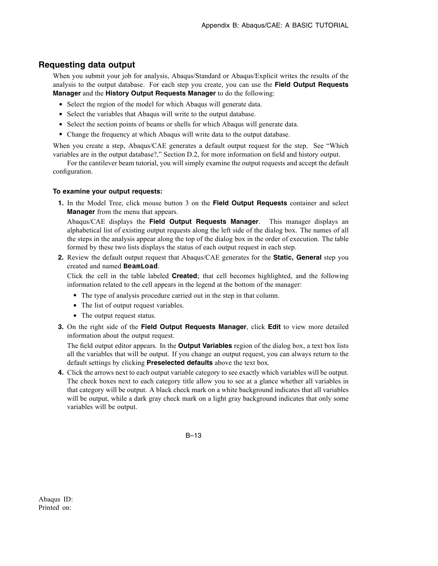### **Requesting data output**

When you submit your job for analysis, Abaqus/Standard or Abaqus/Explicit writes the results of the analysis to the output database. For each step you create, you can use the **Field Output Requests Manager** and the **History Output Requests Manager** to do the following:

- Select the region of the model for which Abaqus will generate data.
- Select the variables that Abagus will write to the output database.
- Select the section points of beams or shells for which Abaqus will generate data.
- Change the frequency at which Abaqus will write data to the output database.

When you create a step, Abagus/CAE generates a default output request for the step. See "Which variables are in the output database?," Section D.2, for more information on field and history output.

For the cantilever beam tutorial, you will simply examine the output requests and accept the default configuration.

#### **To examine your output requests:**

**1.** In the Model Tree, click mouse button 3 on the **Field Output Requests** container and select **Manager** from the menu that appears.

Abaqus/CAE displays the **Field Output Requests Manager**. This manager displays an alphabetical list of existing output requests along the left side of the dialog box. The names of all the steps in the analysis appear along the top of the dialog box in the order of execution. The table formed by these two lists displays the status of each output request in each step.

**2.** Review the default output request that Abaqus/CAE generates for the **Static, General** step you created and named **BeamLoad**.

Click the cell in the table labeled **Created**; that cell becomes highlighted, and the following information related to the cell appears in the legend at the bottom of the manager:

- The type of analysis procedure carried out in the step in that column.
- The list of output request variables.
- The output request status.
- **3.** On the right side of the **Field Output Requests Manager**, click **Edit** to view more detailed information about the output request.

The field output editor appears. In the **Output Variables** region of the dialog box, a text box lists all the variables that will be output. If you change an output request, you can always return to the default settings by clicking **Preselected defaults** above the text box.

**4.** Click the arrows next to each output variable category to see exactly which variables will be output. The check boxes next to each category title allow you to see at a glance whether all variables in that category will be output. A black check mark on a white background indicates that all variables will be output, while a dark gray check mark on a light gray background indicates that only some variables will be output.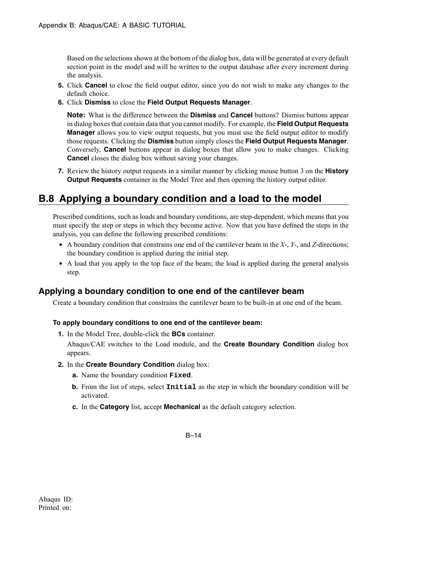Based on the selections shown at the bottom of the dialog box, data will be generated at every default section point in the model and will be written to the output database after every increment during the analysis.

- **5.** Click **Cancel** to close the field output editor, since you do not wish to make any changes to the default choice.
- **6.** Click **Dismiss** to close the **Field Output Requests Manager**.

**Note:** What is the difference between the **Dismiss** and **Cancel** buttons? Dismiss buttons appear in dialog boxes that contain data that you cannot modify. For example, the **Field Output Requests Manager** allows you to view output requests, but you must use the field output editor to modify those requests. Clicking the **Dismiss** button simply closes the **Field Output Requests Manager**. Conversely, **Cancel** buttons appear in dialog boxes that allow you to make changes. Clicking **Cancel** closes the dialog box without saving your changes.

**7.** Review the history output requests in a similar manner by clicking mouse button 3 on the **History Output Requests** container in the Model Tree and then opening the history output editor.

# **B.8 Applying a boundary condition and a load to the model**

Prescribed conditions, such as loads and boundary conditions, are step-dependent, which means that you must specify the step or steps in which they become active. Now that you have defined the steps in the analysis, you can define the following prescribed conditions:

- A boundary condition that constrains one end of the cantilever beam in the *X*-, *Y*-, and *Z*-directions; the boundary condition is applied during the initial step.
- A load that you apply to the top face of the beam; the load is applied during the general analysis step.

## **Applying a boundary condition to one end of the cantilever beam**

Create a boundary condition that constrains the cantilever beam to be built-in at one end of the beam.

#### **To apply boundary conditions to one end of the cantilever beam:**

**1.** In the Model Tree, double-click the **BCs** container.

Abaqus/CAE switches to the Load module, and the **Create Boundary Condition** dialog box appears.

- **2.** In the **Create Boundary Condition** dialog box:
	- **a.** Name the boundary condition **Fixed**.
	- **b.** From the list of steps, select **Initial** as the step in which the boundary condition will be activated.
	- **c.** In the **Category** list, accept **Mechanical** as the default category selection.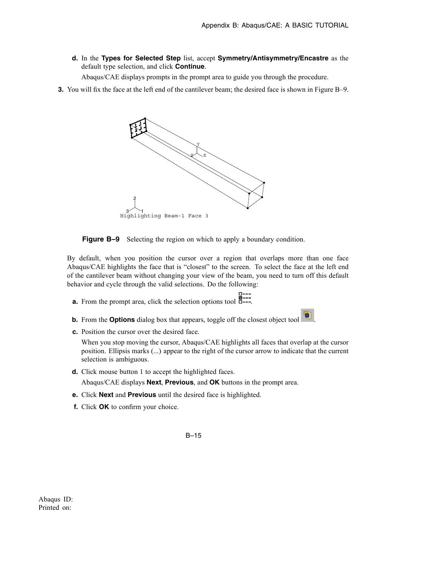**d.** In the **Types for Selected Step** list, accept **Symmetry/Antisymmetry/Encastre** as the default type selection, and click **Continue**.

Abaqus/CAE displays prompts in the prompt area to guide you through the procedure.

**3.** You will fix the face at the left end of the cantilever beam; the desired face is shown in Figure B–9.



**Figure B–9** Selecting the region on which to apply a boundary condition.

By default, when you position the cursor over a region that overlaps more than one face Abaqus/CAE highlights the face that is "closest" to the screen. To select the face at the left end of the cantilever beam without changing your view of the beam, you need to turn off this default behavior and cycle through the valid selections. Do the following:

- **a.** From the prompt area, click the selection options tool  $\overline{a}$ .
- **b.** From the **Options** dialog box that appears, toggle off the closest object tool
- **c.** Position the cursor over the desired face.

When you stop moving the cursor, Abaqus/CAE highlights all faces that overlap at the cursor position. Ellipsis marks (...) appear to the right of the cursor arrow to indicate that the current selection is ambiguous.

**d.** Click mouse button 1 to accept the highlighted faces.

Abaqus/CAE displays **Next**, **Previous**, and **OK** buttons in the prompt area.

- **e.** Click **Next** and **Previous** until the desired face is highlighted.
- **f.** Click **OK** to confirm your choice.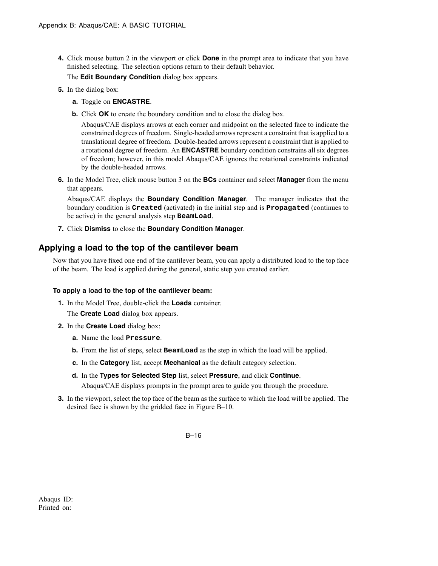**4.** Click mouse button 2 in the viewport or click **Done** in the prompt area to indicate that you have finished selecting. The selection options return to their default behavior.

The **Edit Boundary Condition** dialog box appears.

- **5.** In the dialog box:
	- **a.** Toggle on **ENCASTRE**.
	- **b.** Click **OK** to create the boundary condition and to close the dialog box.

Abaqus/CAE displays arrows at each corner and midpoint on the selected face to indicate the constrained degrees of freedom. Single-headed arrows represent a constraint that is applied to a translational degree of freedom. Double-headed arrows represent a constraint that is applied to a rotational degree of freedom. An **ENCASTRE** boundary condition constrains all six degrees of freedom; however, in this model Abaqus/CAE ignores the rotational constraints indicated by the double-headed arrows.

**6.** In the Model Tree, click mouse button 3 on the **BCs** container and select **Manager** from the menu that appears.

Abaqus/CAE displays the **Boundary Condition Manager**. The manager indicates that the boundary condition is **Created** (activated) in the initial step and is **Propagated** (continues to be active) in the general analysis step **BeamLoad**.

**7.** Click **Dismiss** to close the **Boundary Condition Manager**.

## **Applying a load to the top of the cantilever beam**

Now that you have fixed one end of the cantilever beam, you can apply a distributed load to the top face of the beam. The load is applied during the general, static step you created earlier.

#### **To apply a load to the top of the cantilever beam:**

**1.** In the Model Tree, double-click the **Loads** container.

The **Create Load** dialog box appears.

- **2.** In the **Create Load** dialog box:
	- **a.** Name the load **Pressure**.
	- **b.** From the list of steps, select **BeamLoad** as the step in which the load will be applied.
	- **c.** In the **Category** list, accept **Mechanical** as the default category selection.
	- **d.** In the **Types for Selected Step** list, select **Pressure**, and click **Continue**. Abaqus/CAE displays prompts in the prompt area to guide you through the procedure.
- **3.** In the viewport, select the top face of the beam as the surface to which the load will be applied. The desired face is shown by the gridded face in Figure B–10.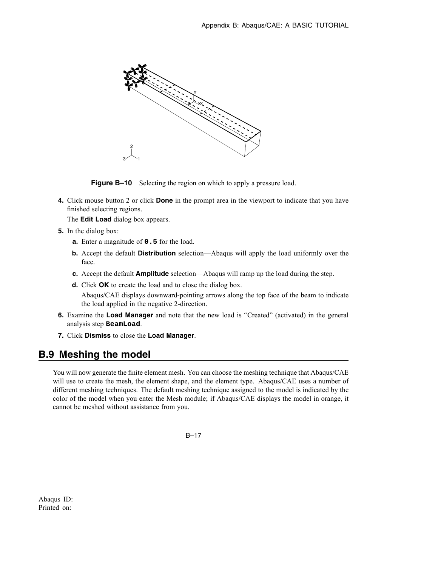

**Figure B–10** Selecting the region on which to apply a pressure load.

**4.** Click mouse button 2 or click **Done** in the prompt area in the viewport to indicate that you have finished selecting regions.

The **Edit Load** dialog box appears.

- **5.** In the dialog box:
	- **a.** Enter a magnitude of **0.5** for the load.
	- **b.** Accept the default **Distribution** selection—Abaqus will apply the load uniformly over the face.
	- **c.** Accept the default **Amplitude** selection—Abaqus will ramp up the load during the step.
	- **d.** Click **OK** to create the load and to close the dialog box.

Abaqus/CAE displays downward-pointing arrows along the top face of the beam to indicate the load applied in the negative 2-direction.

- **6.** Examine the **Load Manager** and note that the new load is "Created" (activated) in the general analysis step **BeamLoad**.
- **7.** Click **Dismiss** to close the **Load Manager**.

## **B.9 Meshing the model**

You will now generate the finite element mesh. You can choose the meshing technique that Abaqus/CAE will use to create the mesh, the element shape, and the element type. Abaqus/CAE uses a number of different meshing techniques. The default meshing technique assigned to the model is indicated by the color of the model when you enter the Mesh module; if Abaqus/CAE displays the model in orange, it cannot be meshed without assistance from you.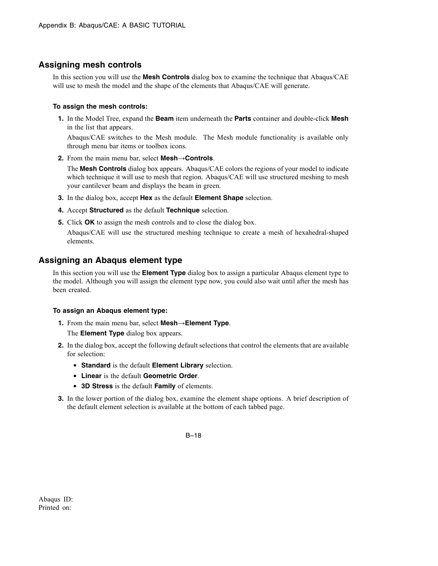### **Assigning mesh controls**

In this section you will use the **Mesh Controls** dialog box to examine the technique that Abaqus/CAE will use to mesh the model and the shape of the elements that Abaqus/CAE will generate.

#### **To assign the mesh controls:**

**1.** In the Model Tree, expand the **Beam** item underneath the **Parts** container and double-click **Mesh** in the list that appears.

Abaqus/CAE switches to the Mesh module. The Mesh module functionality is available only through menu bar items or toolbox icons.

**2.** From the main menu bar, select **Mesh**→**Controls**.

The **Mesh Controls** dialog box appears. Abaqus/CAE colors the regions of your model to indicate which technique it will use to mesh that region. Abaqus/CAE will use structured meshing to mesh your cantilever beam and displays the beam in green.

- **3.** In the dialog box, accept **Hex** as the default **Element Shape** selection.
- **4.** Accept **Structured** as the default **Technique** selection.
- **5.** Click **OK** to assign the mesh controls and to close the dialog box.

Abaqus/CAE will use the structured meshing technique to create a mesh of hexahedral-shaped elements.

### **Assigning an Abaqus element type**

In this section you will use the **Element Type** dialog box to assign a particular Abaqus element type to the model. Although you will assign the element type now, you could also wait until after the mesh has been created.

#### **To assign an Abaqus element type:**

**1.** From the main menu bar, select **Mesh**→**Element Type**.

The **Element Type** dialog box appears.

- **2.** In the dialog box, accept the following default selections that control the elements that are available for selection:
	- **Standard** is the default **Element Library** selection.
	- **Linear** is the default **Geometric Order**.
	- **3D Stress** is the default **Family** of elements.
- **3.** In the lower portion of the dialog box, examine the element shape options. A brief description of the default element selection is available at the bottom of each tabbed page.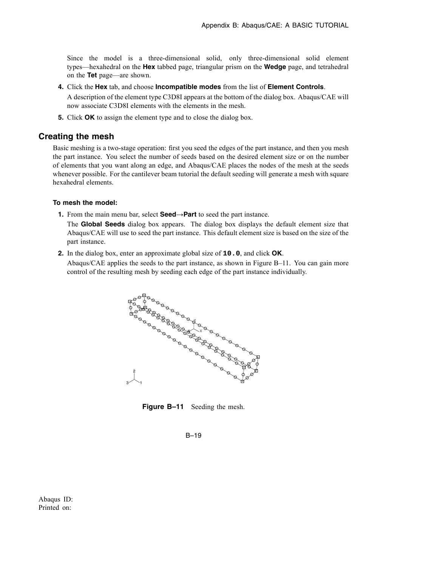Since the model is a three-dimensional solid, only three-dimensional solid element types—hexahedral on the **Hex** tabbed page, triangular prism on the **Wedge** page, and tetrahedral on the **Tet** page—are shown.

- **4.** Click the **Hex** tab, and choose **Incompatible modes** from the list of **Element Controls**. A description of the element type C3D8I appears at the bottom of the dialog box. Abaqus/CAE will now associate C3D8I elements with the elements in the mesh.
- **5.** Click **OK** to assign the element type and to close the dialog box.

### **Creating the mesh**

Basic meshing is a two-stage operation: first you seed the edges of the part instance, and then you mesh the part instance. You select the number of seeds based on the desired element size or on the number of elements that you want along an edge, and Abaqus/CAE places the nodes of the mesh at the seeds whenever possible. For the cantilever beam tutorial the default seeding will generate a mesh with square hexahedral elements.

#### **To mesh the model:**

**1.** From the main menu bar, select **Seed**→**Part** to seed the part instance.

The **Global Seeds** dialog box appears. The dialog box displays the default element size that Abaqus/CAE will use to seed the part instance. This default element size is based on the size of the part instance.

**2.** In the dialog box, enter an approximate global size of **10.0**, and click **OK**.

Abaqus/CAE applies the seeds to the part instance, as shown in Figure B–11. You can gain more control of the resulting mesh by seeding each edge of the part instance individually.



**Figure B–11** Seeding the mesh.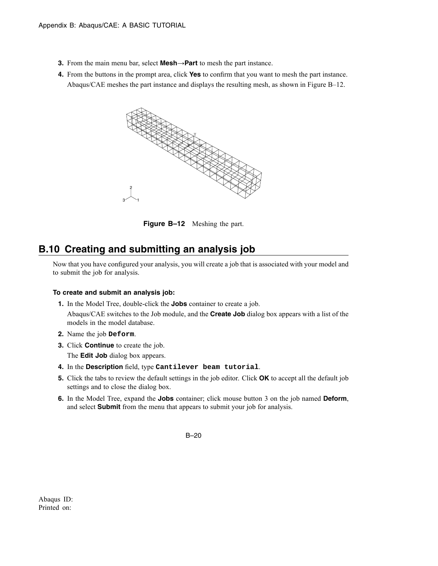- **3.** From the main menu bar, select **Mesh**→**Part** to mesh the part instance.
- **4.** From the buttons in the prompt area, click **Yes** to confirm that you want to mesh the part instance. Abaqus/CAE meshes the part instance and displays the resulting mesh, as shown in Figure B–12.



**Figure B–12** Meshing the part.

# **B.10 Creating and submitting an analysis job**

Now that you have configured your analysis, you will create a job that is associated with your model and to submit the job for analysis.

#### **To create and submit an analysis job:**

- **1.** In the Model Tree, double-click the **Jobs** container to create a job. Abaqus/CAE switches to the Job module, and the **Create Job** dialog box appears with a list of the models in the model database.
- **2.** Name the job **Deform**.
- **3.** Click **Continue** to create the job.

The **Edit Job** dialog box appears.

- **4.** In the **Description** field, type **Cantilever beam tutorial**.
- **5.** Click the tabs to review the default settings in the job editor. Click **OK** to accept all the default job settings and to close the dialog box.
- **6.** In the Model Tree, expand the **Jobs** container; click mouse button 3 on the job named **Deform**, and select **Submit** from the menu that appears to submit your job for analysis.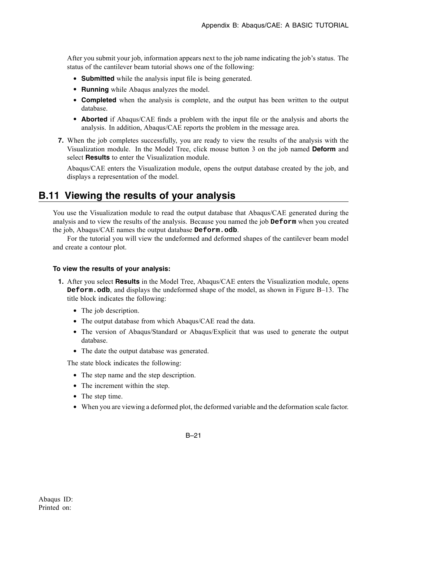After you submit your job, information appears next to the job name indicating the job's status. The status of the cantilever beam tutorial shows one of the following:

- **Submitted** while the analysis input file is being generated.
- **Running** while Abaqus analyzes the model.
- **Completed** when the analysis is complete, and the output has been written to the output database.
- **Aborted** if Abaqus/CAE finds a problem with the input file or the analysis and aborts the analysis. In addition, Abaqus/CAE reports the problem in the message area.
- **7.** When the job completes successfully, you are ready to view the results of the analysis with the Visualization module. In the Model Tree, click mouse button 3 on the job named **Deform** and select **Results** to enter the Visualization module.

Abaqus/CAE enters the Visualization module, opens the output database created by the job, and displays a representation of the model.

## **B.11 Viewing the results of your analysis**

You use the Visualization module to read the output database that Abaqus/CAE generated during the analysis and to view the results of the analysis. Because you named the job **Deform** when you created the job, Abaqus/CAE names the output database **Deform.odb**.

For the tutorial you will view the undeformed and deformed shapes of the cantilever beam model and create a contour plot.

#### **To view the results of your analysis:**

- **1.** After you select **Results** in the Model Tree, Abaqus/CAE enters the Visualization module, opens **Deform.odb**, and displays the undeformed shape of the model, as shown in Figure B–13. The title block indicates the following:
	- The job description.
	- The output database from which Abaqus/CAE read the data.
	- The version of Abaqus/Standard or Abaqus/Explicit that was used to generate the output database.
	- The date the output database was generated.

The state block indicates the following:

- The step name and the step description.
- The increment within the step.
- The step time.
- When you are viewing a deformed plot, the deformed variable and the deformation scale factor.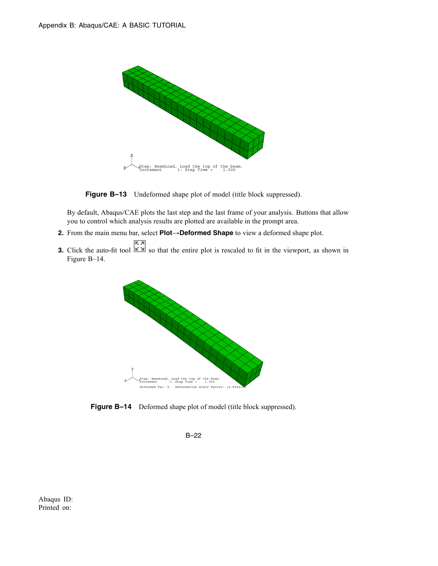

**Figure B–13** Undeformed shape plot of model (title block suppressed).

By default, Abaqus/CAE plots the last step and the last frame of your analysis. Buttons that allow you to control which analysis results are plotted are available in the prompt area.

**2.** From the main menu bar, select **Plot**→**Deformed Shape** to view a deformed shape plot.

**3.** Click the auto-fit tool  $\boxed{\overline{58}}$  so that the entire plot is rescaled to fit in the viewport, as shown in Figure B–14.



**Figure B-14** Deformed shape plot of model (title block suppressed).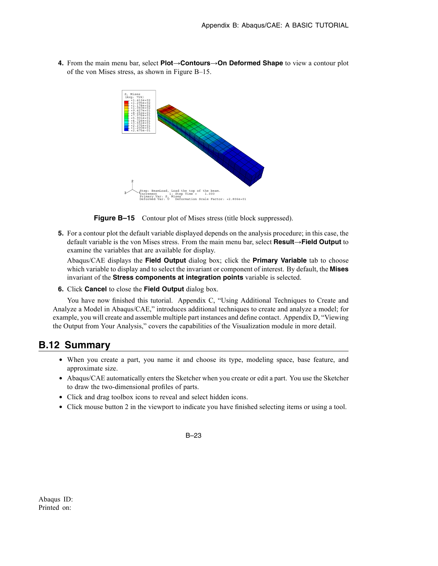

**4.** From the main menu bar, select **Plot**→**Contours**→**On Deformed Shape** to view a contour plot of the von Mises stress, as shown in Figure B–15.

**Figure B–15** Contour plot of Mises stress (title block suppressed).

**5.** For a contour plot the default variable displayed depends on the analysis procedure; in this case, the default variable is the von Mises stress. From the main menu bar, select **Result**→**Field Output** to examine the variables that are available for display.

Abaqus/CAE displays the **Field Output** dialog box; click the **Primary Variable** tab to choose which variable to display and to select the invariant or component of interest. By default, the **Mises** invariant of the **Stress components at integration points** variable is selected.

**6.** Click **Cancel** to close the **Field Output** dialog box.

You have now finished this tutorial. Appendix C, "Using Additional Techniques to Create and Analyze a Model in Abaqus/CAE," introduces additional techniques to create and analyze a model; for example, you will create and assemble multiple part instances and define contact. Appendix D, "Viewing the Output from Your Analysis," covers the capabilities of the Visualization module in more detail.

## **B.12 Summary**

- When you create a part, you name it and choose its type, modeling space, base feature, and approximate size.
- Abaqus/CAE automatically enters the Sketcher when you create or edit a part. You use the Sketcher to draw the two-dimensional profiles of parts.
- Click and drag toolbox icons to reveal and select hidden icons.
- Click mouse button 2 in the viewport to indicate you have finished selecting items or using a tool.